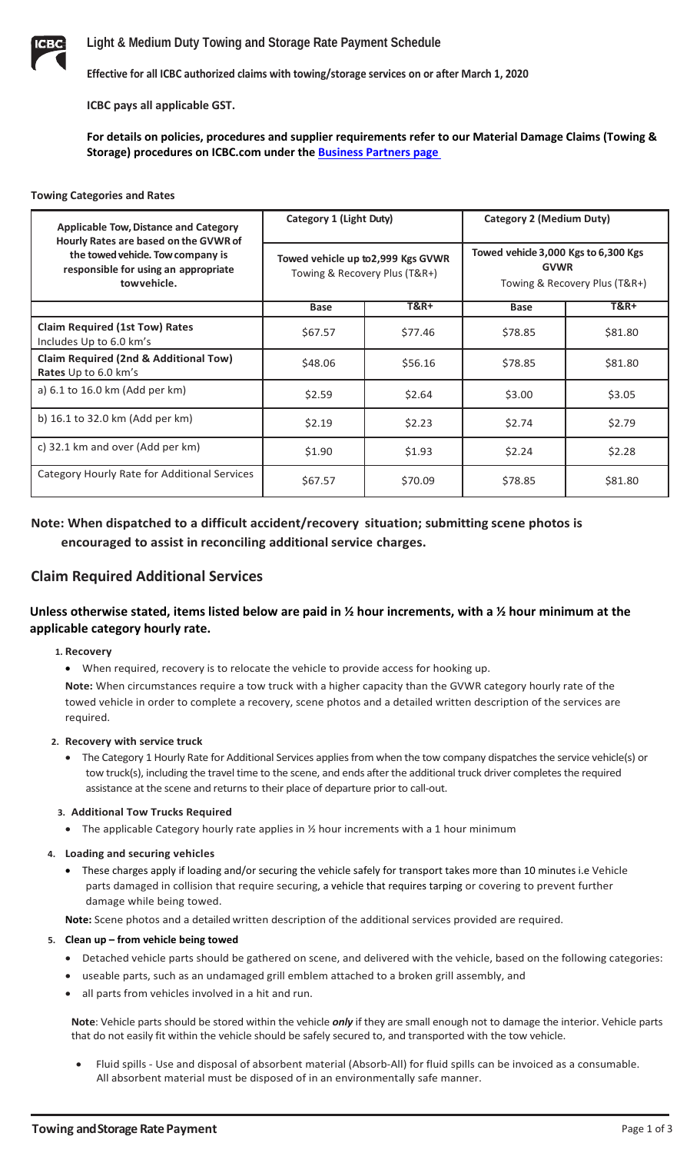

**Effective for all ICBC authorized claims with towing/storage services on or after March 1, 2020**

**ICBC pays all applicable GST.**

**For details on policies, procedures and supplier requirements refer to our Material Damage Claims (Towing & Storage) procedures on ICBC.com under the [Business Partners page](https://www.icbc.com/partners/material-damage/Pages/towing.aspx)** 

#### **Towing Categories and Rates**

| <b>Applicable Tow, Distance and Category</b><br>Hourly Rates are based on the GVWR of<br>the towed vehicle. Tow company is<br>responsible for using an appropriate<br>towyehicle. | Category 1 (Light Duty)                                             |                 | Category 2 (Medium Duty)                                                             |                 |
|-----------------------------------------------------------------------------------------------------------------------------------------------------------------------------------|---------------------------------------------------------------------|-----------------|--------------------------------------------------------------------------------------|-----------------|
|                                                                                                                                                                                   | Towed vehicle up to 2,999 Kgs GVWR<br>Towing & Recovery Plus (T&R+) |                 | Towed vehicle 3,000 Kgs to 6,300 Kgs<br><b>GVWR</b><br>Towing & Recovery Plus (T&R+) |                 |
|                                                                                                                                                                                   | <b>Base</b>                                                         | <b>T&amp;R+</b> | <b>Base</b>                                                                          | <b>T&amp;R+</b> |
| <b>Claim Required (1st Tow) Rates</b><br>Includes Up to 6.0 km's                                                                                                                  | \$67.57                                                             | \$77.46         | \$78.85                                                                              | \$81.80         |
| Claim Required (2nd & Additional Tow)<br>Rates Up to 6.0 km's                                                                                                                     | \$48.06                                                             | \$56.16         | \$78.85                                                                              | \$81.80         |
| a) 6.1 to 16.0 km (Add per km)                                                                                                                                                    | \$2.59                                                              | \$2.64          | \$3.00                                                                               | \$3.05          |
| b) 16.1 to 32.0 km (Add per km)                                                                                                                                                   | \$2.19                                                              | \$2.23          | \$2.74                                                                               | \$2.79          |
| c) 32.1 km and over (Add per km)                                                                                                                                                  | \$1.90                                                              | \$1.93          | \$2.24                                                                               | \$2.28          |
| Category Hourly Rate for Additional Services                                                                                                                                      | \$67.57                                                             | \$70.09         | \$78.85                                                                              | \$81.80         |

# **Note: When dispatched to a difficult accident/recovery situation; submitting scene photos is encouraged to assist in reconciling additional service charges.**

# **Claim Required Additional Services**

# **Unless otherwise stated, items listed below are paid in ½ hour increments, with a ½ hour minimum at the applicable category hourly rate.**

#### **1. Recovery**

required.

• When required, recovery is to relocate the vehicle to provide access for hooking up. **Note:** When circumstances require a tow truck with a higher capacity than the GVWR category hourly rate of the towed vehicle in order to complete a recovery, scene photos and a detailed written description of the services are

# **2. Recovery with service truck**

• The Category 1 Hourly Rate for Additional Services applies from when the tow company dispatches the service vehicle(s) or tow truck(s), including the travel time to the scene, and ends after the additional truck driver completes the required assistance at the scene and returns to their place of departure prior to call-out.

## **3. Additional Tow Trucks Required**

• The applicable Category hourly rate applies in 1/2 hour increments with a 1 hour minimum

## **4. Loading and securing vehicles**

• These charges apply if loading and/or securing the vehicle safely for transport takes more than 10 minutes i.e Vehicle parts damaged in collision that require securing, a vehicle that requires tarping or covering to prevent further damage while being towed.

**Note:** Scene photos and a detailed written description of the additional services provided are required.

## **5. Clean up – from vehicle being towed**

- Detached vehicle parts should be gathered on scene, and delivered with the vehicle, based on the following categories:
- useable parts, such as an undamaged grill emblem attached to a broken grill assembly, and
- all parts from vehicles involved in a hit and run.

**Note**: Vehicle parts should be stored within the vehicle *only* if they are small enough not to damage the interior. Vehicle parts that do not easily fit within the vehicle should be safely secured to, and transported with the tow vehicle.

• Fluid spills - Use and disposal of absorbent material (Absorb-All) for fluid spills can be invoiced as a consumable. All absorbent material must be disposed of in an environmentally safe manner.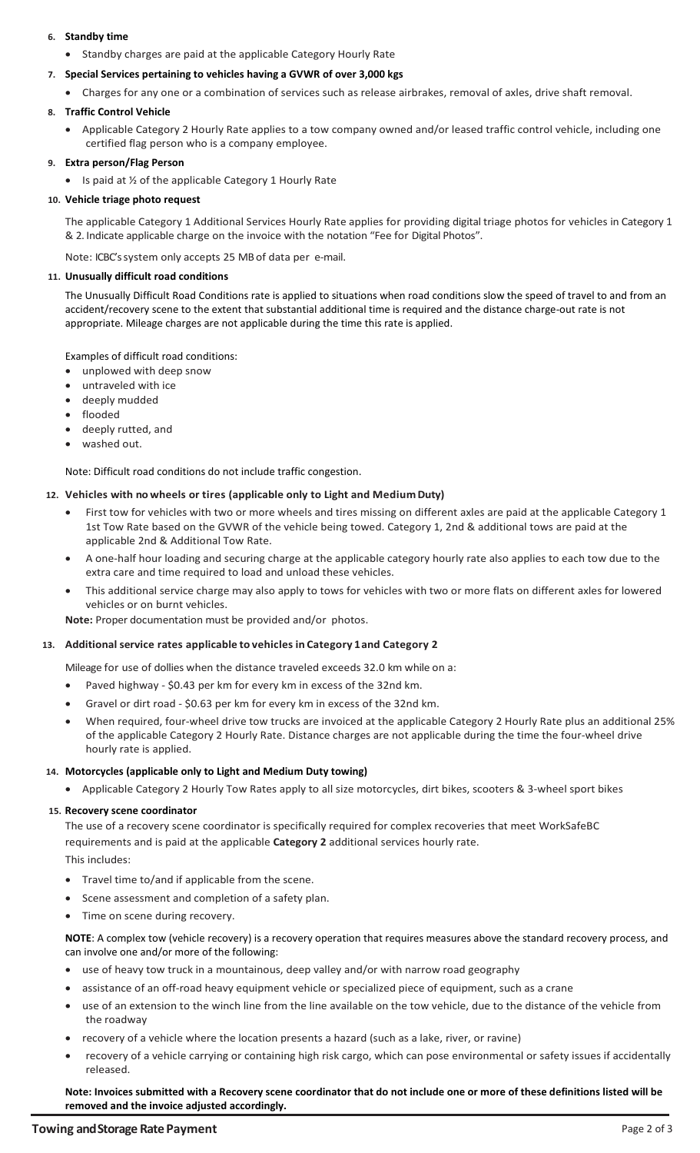### **6. Standby time**

• Standby charges are paid at the applicable Category Hourly Rate

#### **7. Special Services pertaining to vehicles having a GVWR of over 3,000 kgs**

• Charges for any one or a combination of services such as release airbrakes, removal of axles, drive shaft removal.

### **8. Traffic Control Vehicle**

• Applicable Category 2 Hourly Rate applies to a tow company owned and/or leased traffic control vehicle, including one certified flag person who is a company employee.

### **9. Extra person/Flag Person**

• Is paid at 1/2 of the applicable Category 1 Hourly Rate

#### **10. Vehicle triage photo request**

The applicable Category 1 Additional Services Hourly Rate applies for providing digital triage photos for vehicles in Category 1 & 2. Indicate applicable charge on the invoice with the notation "Fee for Digital Photos".

Note: ICBC's system only accepts 25 MB of data per e-mail.

### **11. Unusually difficult road conditions**

The Unusually Difficult Road Conditions rate is applied to situations when road conditions slow the speed of travel to and from an accident/recovery scene to the extent that substantial additional time is required and the distance charge-out rate is not appropriate. Mileage charges are not applicable during the time this rate is applied.

Examples of difficult road conditions:

- unplowed with deep snow
- untraveled with ice
- deeply mudded
- flooded
- deeply rutted, and
- washed out.

Note: Difficult road conditions do not include traffic congestion.

#### **12. Vehicles with no wheels or tires (applicable only to Light and MediumDuty)**

- First tow for vehicles with two or more wheels and tires missing on different axles are paid at the applicable Category 1 1st Tow Rate based on the GVWR of the vehicle being towed. Category 1, 2nd & additional tows are paid at the applicable 2nd & Additional Tow Rate.
- A one-half hour loading and securing charge at the applicable category hourly rate also applies to each tow due to the extra care and time required to load and unload these vehicles.
- This additional service charge may also apply to tows for vehicles with two or more flats on different axles for lowered vehicles or on burnt vehicles.

**Note:** Proper documentation must be provided and/or photos.

#### **13. Additional service rates applicable to vehicles in Category 1and Category 2**

Mileage for use of dollies when the distance traveled exceeds 32.0 km while on a:

- Paved highway \$0.43 per km for every km in excess of the 32nd km.
- Gravel or dirt road \$0.63 per km for every km in excess of the 32nd km.
- When required, four-wheel drive tow trucks are invoiced at the applicable Category 2 Hourly Rate plus an additional 25% of the applicable Category 2 Hourly Rate. Distance charges are not applicable during the time the four-wheel drive hourly rate is applied.

#### **14. Motorcycles (applicable only to Light and Medium Duty towing)**

• Applicable Category 2 Hourly Tow Rates apply to all size motorcycles, dirt bikes, scooters & 3-wheel sport bikes

#### **15. Recovery scene coordinator**

The use of a recovery scene coordinator is specifically required for complex recoveries that meet WorkSafeBC requirements and is paid at the applicable **Category 2** additional services hourly rate. This includes:

- Travel time to/and if applicable from the scene.
- Scene assessment and completion of a safety plan.
- Time on scene during recovery.

**NOTE**: A complex tow (vehicle recovery) is a recovery operation that requires measures above the standard recovery process, and can involve one and/or more of the following:

- use of heavy tow truck in a mountainous, deep valley and/or with narrow road geography
- assistance of an off-road heavy equipment vehicle or specialized piece of equipment, such as a crane
- use of an extension to the winch line from the line available on the tow vehicle, due to the distance of the vehicle from the roadway
- recovery of a vehicle where the location presents a hazard (such as a lake, river, or ravine)
- recovery of a vehicle carrying or containing high risk cargo, which can pose environmental or safety issues if accidentally released.

**Note: Invoices submitted with a Recovery scene coordinator that do not include one or more of these definitions listed will be removed and the invoice adjusted accordingly.**